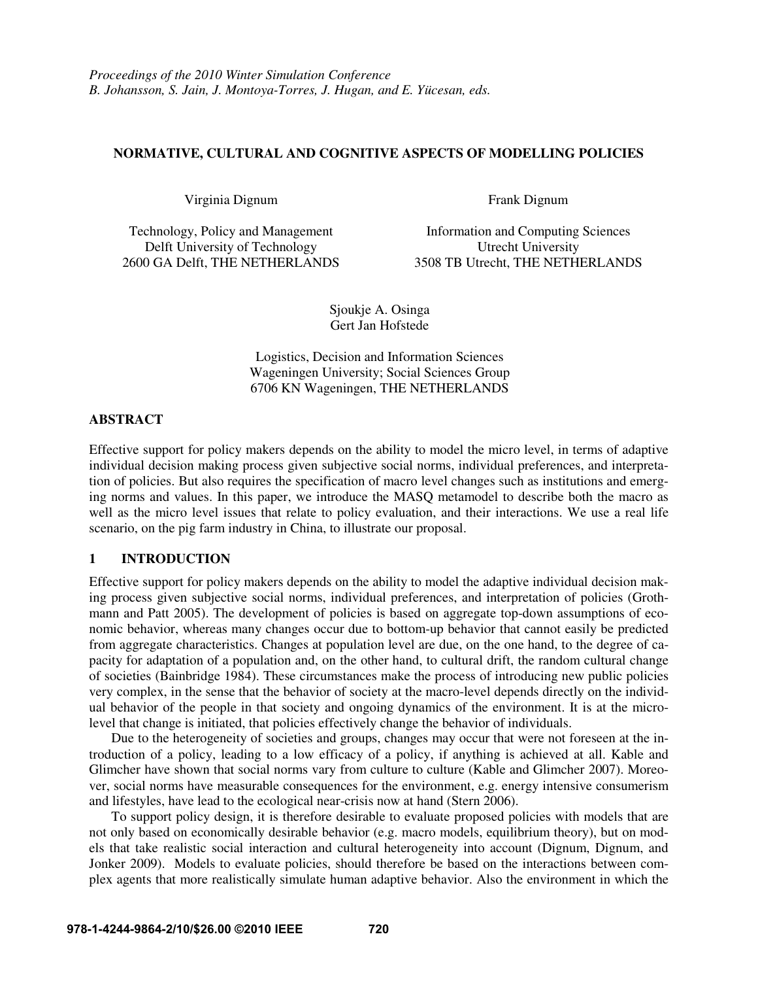## **NORMATIVE, CULTURAL AND COGNITIVE ASPECTS OF MODELLING POLICIES**

Virginia Dignum Frank Dignum

Delft University of Technology Utrecht University

Technology, Policy and Management Information and Computing Sciences 2600 GA Delft, THE NETHERLANDS 3508 TB Utrecht, THE NETHERLANDS

> Sjoukje A. Osinga Gert Jan Hofstede

Logistics, Decision and Information Sciences Wageningen University; Social Sciences Group 6706 KN Wageningen, THE NETHERLANDS

### **ABSTRACT**

Effective support for policy makers depends on the ability to model the micro level, in terms of adaptive individual decision making process given subjective social norms, individual preferences, and interpretation of policies. But also requires the specification of macro level changes such as institutions and emerging norms and values. In this paper, we introduce the MASQ metamodel to describe both the macro as well as the micro level issues that relate to policy evaluation, and their interactions. We use a real life scenario, on the pig farm industry in China, to illustrate our proposal.

# **1 INTRODUCTION**

Effective support for policy makers depends on the ability to model the adaptive individual decision making process given subjective social norms, individual preferences, and interpretation of policies (Grothmann and Patt 2005). The development of policies is based on aggregate top-down assumptions of economic behavior, whereas many changes occur due to bottom-up behavior that cannot easily be predicted from aggregate characteristics. Changes at population level are due, on the one hand, to the degree of capacity for adaptation of a population and, on the other hand, to cultural drift, the random cultural change of societies (Bainbridge 1984). These circumstances make the process of introducing new public policies very complex, in the sense that the behavior of society at the macro-level depends directly on the individual behavior of the people in that society and ongoing dynamics of the environment. It is at the microlevel that change is initiated, that policies effectively change the behavior of individuals.

Due to the heterogeneity of societies and groups, changes may occur that were not foreseen at the introduction of a policy, leading to a low efficacy of a policy, if anything is achieved at all. Kable and Glimcher have shown that social norms vary from culture to culture (Kable and Glimcher 2007). Moreover, social norms have measurable consequences for the environment, e.g. energy intensive consumerism and lifestyles, have lead to the ecological near-crisis now at hand (Stern 2006).

To support policy design, it is therefore desirable to evaluate proposed policies with models that are not only based on economically desirable behavior (e.g. macro models, equilibrium theory), but on models that take realistic social interaction and cultural heterogeneity into account (Dignum, Dignum, and Jonker 2009). Models to evaluate policies, should therefore be based on the interactions between complex agents that more realistically simulate human adaptive behavior. Also the environment in which the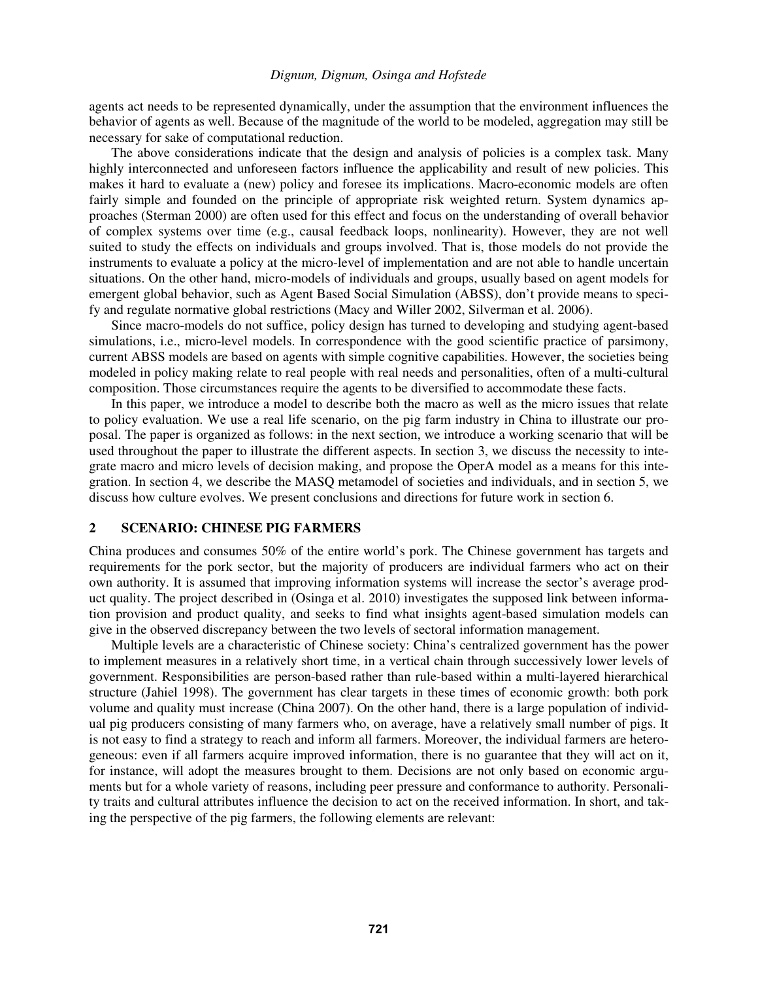agents act needs to be represented dynamically, under the assumption that the environment influences the behavior of agents as well. Because of the magnitude of the world to be modeled, aggregation may still be necessary for sake of computational reduction.

The above considerations indicate that the design and analysis of policies is a complex task. Many highly interconnected and unforeseen factors influence the applicability and result of new policies. This makes it hard to evaluate a (new) policy and foresee its implications. Macro-economic models are often fairly simple and founded on the principle of appropriate risk weighted return. System dynamics approaches (Sterman 2000) are often used for this effect and focus on the understanding of overall behavior of complex systems over time (e.g., causal feedback loops, nonlinearity). However, they are not well suited to study the effects on individuals and groups involved. That is, those models do not provide the instruments to evaluate a policy at the micro-level of implementation and are not able to handle uncertain situations. On the other hand, micro-models of individuals and groups, usually based on agent models for emergent global behavior, such as Agent Based Social Simulation (ABSS), don't provide means to specify and regulate normative global restrictions (Macy and Willer 2002, Silverman et al. 2006).

Since macro-models do not suffice, policy design has turned to developing and studying agent-based simulations, i.e., micro-level models. In correspondence with the good scientific practice of parsimony, current ABSS models are based on agents with simple cognitive capabilities. However, the societies being modeled in policy making relate to real people with real needs and personalities, often of a multi-cultural composition. Those circumstances require the agents to be diversified to accommodate these facts.

In this paper, we introduce a model to describe both the macro as well as the micro issues that relate to policy evaluation. We use a real life scenario, on the pig farm industry in China to illustrate our proposal. The paper is organized as follows: in the next section, we introduce a working scenario that will be used throughout the paper to illustrate the different aspects. In section 3, we discuss the necessity to integrate macro and micro levels of decision making, and propose the OperA model as a means for this integration. In section 4, we describe the MASQ metamodel of societies and individuals, and in section 5, we discuss how culture evolves. We present conclusions and directions for future work in section 6.

#### **2 SCENARIO: CHINESE PIG FARMERS**

China produces and consumes 50% of the entire world's pork. The Chinese government has targets and requirements for the pork sector, but the majority of producers are individual farmers who act on their own authority. It is assumed that improving information systems will increase the sector's average product quality. The project described in (Osinga et al. 2010) investigates the supposed link between information provision and product quality, and seeks to find what insights agent-based simulation models can give in the observed discrepancy between the two levels of sectoral information management.

Multiple levels are a characteristic of Chinese society: China's centralized government has the power to implement measures in a relatively short time, in a vertical chain through successively lower levels of government. Responsibilities are person-based rather than rule-based within a multi-layered hierarchical structure (Jahiel 1998). The government has clear targets in these times of economic growth: both pork volume and quality must increase (China 2007). On the other hand, there is a large population of individual pig producers consisting of many farmers who, on average, have a relatively small number of pigs. It is not easy to find a strategy to reach and inform all farmers. Moreover, the individual farmers are heterogeneous: even if all farmers acquire improved information, there is no guarantee that they will act on it, for instance, will adopt the measures brought to them. Decisions are not only based on economic arguments but for a whole variety of reasons, including peer pressure and conformance to authority. Personality traits and cultural attributes influence the decision to act on the received information. In short, and taking the perspective of the pig farmers, the following elements are relevant: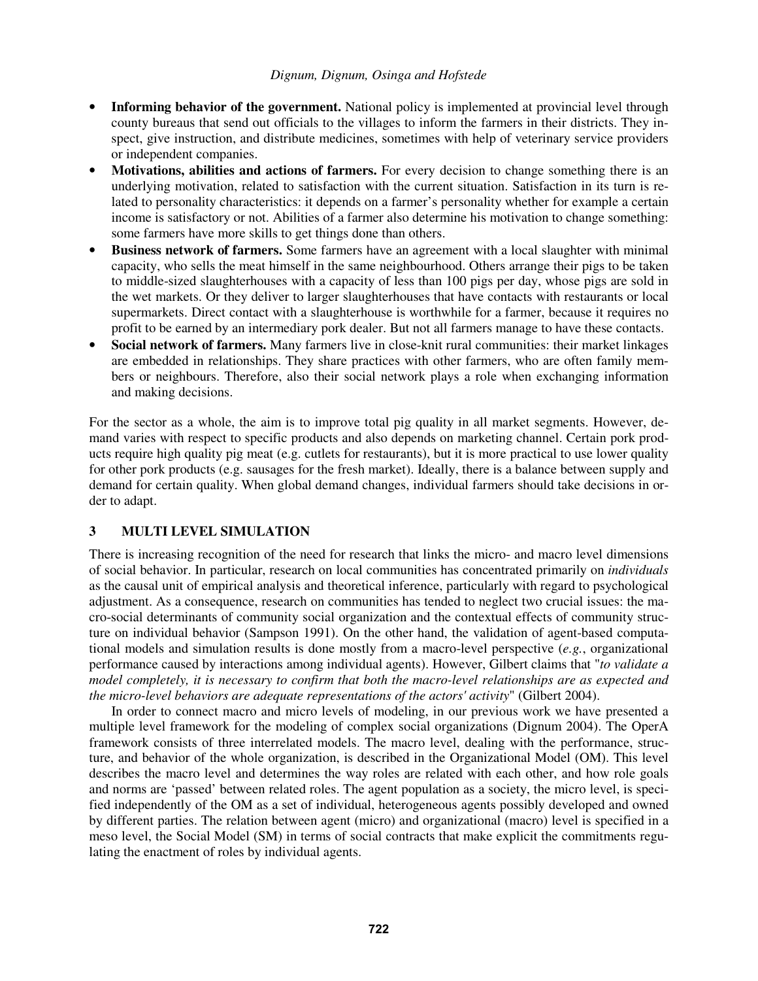- **Informing behavior of the government.** National policy is implemented at provincial level through county bureaus that send out officials to the villages to inform the farmers in their districts. They inspect, give instruction, and distribute medicines, sometimes with help of veterinary service providers or independent companies.
- **Motivations, abilities and actions of farmers.** For every decision to change something there is an underlying motivation, related to satisfaction with the current situation. Satisfaction in its turn is related to personality characteristics: it depends on a farmer's personality whether for example a certain income is satisfactory or not. Abilities of a farmer also determine his motivation to change something: some farmers have more skills to get things done than others.
- **Business network of farmers.** Some farmers have an agreement with a local slaughter with minimal capacity, who sells the meat himself in the same neighbourhood. Others arrange their pigs to be taken to middle-sized slaughterhouses with a capacity of less than 100 pigs per day, whose pigs are sold in the wet markets. Or they deliver to larger slaughterhouses that have contacts with restaurants or local supermarkets. Direct contact with a slaughterhouse is worthwhile for a farmer, because it requires no profit to be earned by an intermediary pork dealer. But not all farmers manage to have these contacts.
- **Social network of farmers.** Many farmers live in close-knit rural communities: their market linkages are embedded in relationships. They share practices with other farmers, who are often family members or neighbours. Therefore, also their social network plays a role when exchanging information and making decisions.

For the sector as a whole, the aim is to improve total pig quality in all market segments. However, demand varies with respect to specific products and also depends on marketing channel. Certain pork products require high quality pig meat (e.g. cutlets for restaurants), but it is more practical to use lower quality for other pork products (e.g. sausages for the fresh market). Ideally, there is a balance between supply and demand for certain quality. When global demand changes, individual farmers should take decisions in order to adapt.

# **3 MULTI LEVEL SIMULATION**

There is increasing recognition of the need for research that links the micro- and macro level dimensions of social behavior. In particular, research on local communities has concentrated primarily on *individuals* as the causal unit of empirical analysis and theoretical inference, particularly with regard to psychological adjustment. As a consequence, research on communities has tended to neglect two crucial issues: the macro-social determinants of community social organization and the contextual effects of community structure on individual behavior (Sampson 1991). On the other hand, the validation of agent-based computational models and simulation results is done mostly from a macro-level perspective (*e.g.*, organizational performance caused by interactions among individual agents). However, Gilbert claims that "*to validate a model completely, it is necessary to confirm that both the macro-level relationships are as expected and the micro-level behaviors are adequate representations of the actors' activity*" (Gilbert 2004).

In order to connect macro and micro levels of modeling, in our previous work we have presented a multiple level framework for the modeling of complex social organizations (Dignum 2004). The OperA framework consists of three interrelated models. The macro level, dealing with the performance, structure, and behavior of the whole organization, is described in the Organizational Model (OM). This level describes the macro level and determines the way roles are related with each other, and how role goals and norms are 'passed' between related roles. The agent population as a society, the micro level, is specified independently of the OM as a set of individual, heterogeneous agents possibly developed and owned by different parties. The relation between agent (micro) and organizational (macro) level is specified in a meso level, the Social Model (SM) in terms of social contracts that make explicit the commitments regulating the enactment of roles by individual agents.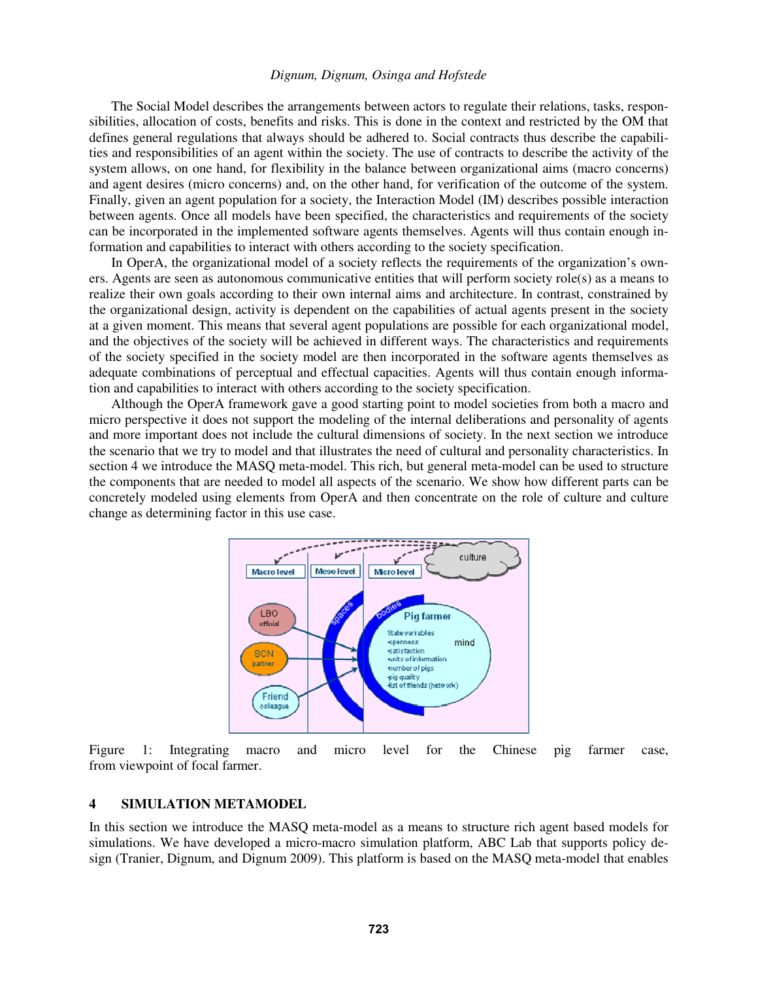The Social Model describes the arrangements between actors to regulate their relations, tasks, responsibilities, allocation of costs, benefits and risks. This is done in the context and restricted by the OM that defines general regulations that always should be adhered to. Social contracts thus describe the capabilities and responsibilities of an agent within the society. The use of contracts to describe the activity of the system allows, on one hand, for flexibility in the balance between organizational aims (macro concerns) and agent desires (micro concerns) and, on the other hand, for verification of the outcome of the system. Finally, given an agent population for a society, the Interaction Model (IM) describes possible interaction between agents. Once all models have been specified, the characteristics and requirements of the society can be incorporated in the implemented software agents themselves. Agents will thus contain enough information and capabilities to interact with others according to the society specification.

In OperA, the organizational model of a society reflects the requirements of the organization's owners. Agents are seen as autonomous communicative entities that will perform society role(s) as a means to realize their own goals according to their own internal aims and architecture. In contrast, constrained by the organizational design, activity is dependent on the capabilities of actual agents present in the society at a given moment. This means that several agent populations are possible for each organizational model, and the objectives of the society will be achieved in different ways. The characteristics and requirements of the society specified in the society model are then incorporated in the software agents themselves as adequate combinations of perceptual and effectual capacities. Agents will thus contain enough information and capabilities to interact with others according to the society specification.

Although the OperA framework gave a good starting point to model societies from both a macro and micro perspective it does not support the modeling of the internal deliberations and personality of agents and more important does not include the cultural dimensions of society. In the next section we introduce the scenario that we try to model and that illustrates the need of cultural and personality characteristics. In section 4 we introduce the MASQ meta-model. This rich, but general meta-model can be used to structure the components that are needed to model all aspects of the scenario. We show how different parts can be concretely modeled using elements from OperA and then concentrate on the role of culture and culture change as determining factor in this use case.



Figure 1: Integrating macro and micro level for the Chinese pig farmer case, from viewpoint of focal farmer.

### **4 SIMULATION METAMODEL**

In this section we introduce the MASQ meta-model as a means to structure rich agent based models for simulations. We have developed a micro-macro simulation platform, ABC Lab that supports policy design (Tranier, Dignum, and Dignum 2009). This platform is based on the MASQ meta-model that enables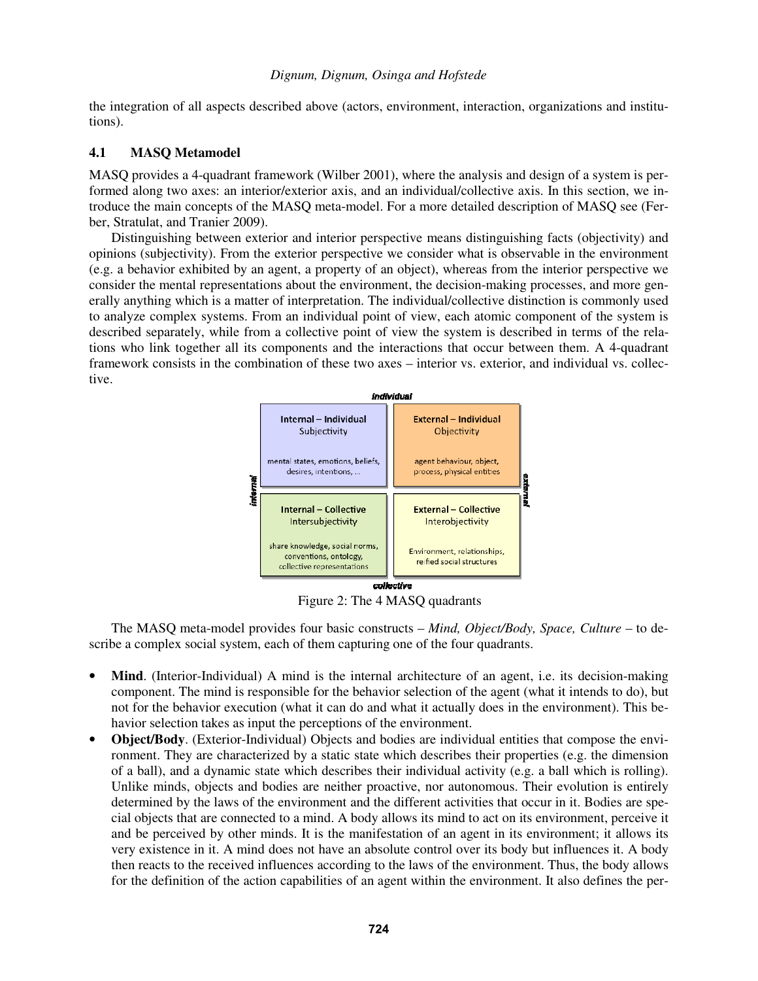the integration of all aspects described above (actors, environment, interaction, organizations and institutions).

### **4.1 MASQ Metamodel**

MASQ provides a 4-quadrant framework (Wilber 2001), where the analysis and design of a system is performed along two axes: an interior/exterior axis, and an individual/collective axis. In this section, we introduce the main concepts of the MASQ meta-model. For a more detailed description of MASQ see (Ferber, Stratulat, and Tranier 2009).

Distinguishing between exterior and interior perspective means distinguishing facts (objectivity) and opinions (subjectivity). From the exterior perspective we consider what is observable in the environment (e.g. a behavior exhibited by an agent, a property of an object), whereas from the interior perspective we consider the mental representations about the environment, the decision-making processes, and more generally anything which is a matter of interpretation. The individual/collective distinction is commonly used to analyze complex systems. From an individual point of view, each atomic component of the system is described separately, while from a collective point of view the system is described in terms of the relations who link together all its components and the interactions that occur between them. A 4-quadrant framework consists in the combination of these two axes – interior vs. exterior, and individual vs. collective.



Figure 2: The 4 MASQ quadrants

The MASQ meta-model provides four basic constructs – *Mind, Object/Body, Space, Culture* – to describe a complex social system, each of them capturing one of the four quadrants.

- **Mind**. (Interior-Individual) A mind is the internal architecture of an agent, i.e. its decision-making component. The mind is responsible for the behavior selection of the agent (what it intends to do), but not for the behavior execution (what it can do and what it actually does in the environment). This behavior selection takes as input the perceptions of the environment.
- **Object/Body**. (Exterior-Individual) Objects and bodies are individual entities that compose the environment. They are characterized by a static state which describes their properties (e.g. the dimension of a ball), and a dynamic state which describes their individual activity (e.g. a ball which is rolling). Unlike minds, objects and bodies are neither proactive, nor autonomous. Their evolution is entirely determined by the laws of the environment and the different activities that occur in it. Bodies are special objects that are connected to a mind. A body allows its mind to act on its environment, perceive it and be perceived by other minds. It is the manifestation of an agent in its environment; it allows its very existence in it. A mind does not have an absolute control over its body but influences it. A body then reacts to the received influences according to the laws of the environment. Thus, the body allows for the definition of the action capabilities of an agent within the environment. It also defines the per-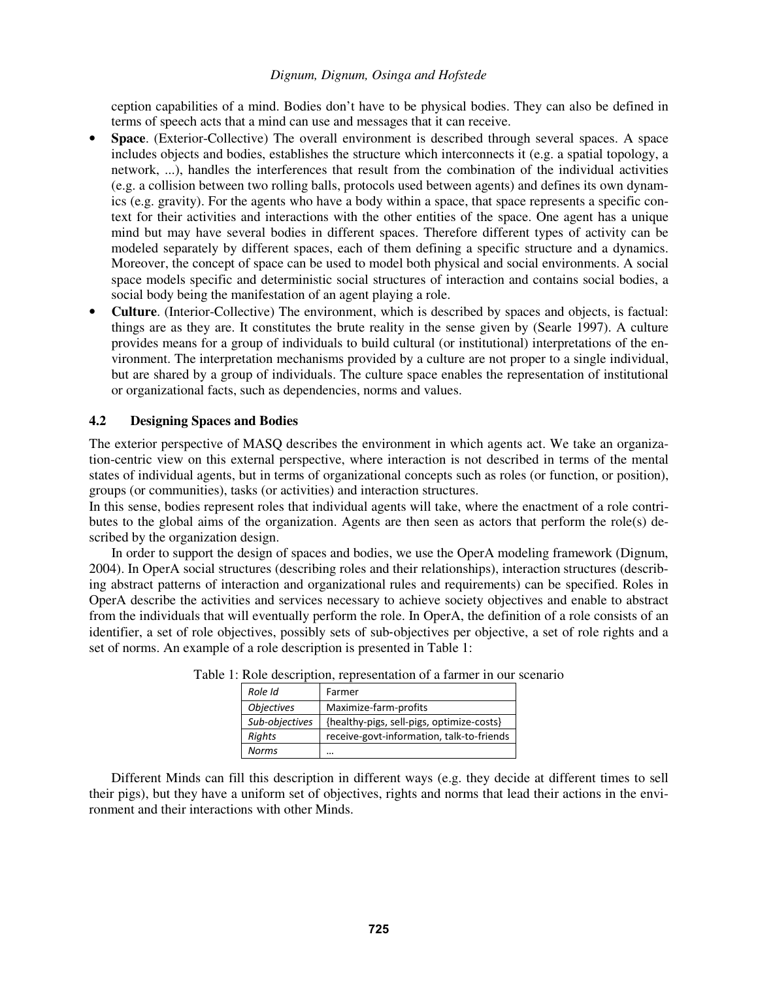ception capabilities of a mind. Bodies don't have to be physical bodies. They can also be defined in terms of speech acts that a mind can use and messages that it can receive.

- **Space**. (Exterior-Collective) The overall environment is described through several spaces. A space includes objects and bodies, establishes the structure which interconnects it (e.g. a spatial topology, a network, ...), handles the interferences that result from the combination of the individual activities (e.g. a collision between two rolling balls, protocols used between agents) and defines its own dynamics (e.g. gravity). For the agents who have a body within a space, that space represents a specific context for their activities and interactions with the other entities of the space. One agent has a unique mind but may have several bodies in different spaces. Therefore different types of activity can be modeled separately by different spaces, each of them defining a specific structure and a dynamics. Moreover, the concept of space can be used to model both physical and social environments. A social space models specific and deterministic social structures of interaction and contains social bodies, a social body being the manifestation of an agent playing a role.
- **Culture**. (Interior-Collective) The environment, which is described by spaces and objects, is factual: things are as they are. It constitutes the brute reality in the sense given by (Searle 1997). A culture provides means for a group of individuals to build cultural (or institutional) interpretations of the environment. The interpretation mechanisms provided by a culture are not proper to a single individual, but are shared by a group of individuals. The culture space enables the representation of institutional or organizational facts, such as dependencies, norms and values.

### **4.2 Designing Spaces and Bodies**

The exterior perspective of MASQ describes the environment in which agents act. We take an organization-centric view on this external perspective, where interaction is not described in terms of the mental states of individual agents, but in terms of organizational concepts such as roles (or function, or position), groups (or communities), tasks (or activities) and interaction structures.

In this sense, bodies represent roles that individual agents will take, where the enactment of a role contributes to the global aims of the organization. Agents are then seen as actors that perform the role(s) described by the organization design.

 In order to support the design of spaces and bodies, we use the OperA modeling framework (Dignum, 2004). In OperA social structures (describing roles and their relationships), interaction structures (describing abstract patterns of interaction and organizational rules and requirements) can be specified. Roles in OperA describe the activities and services necessary to achieve society objectives and enable to abstract from the individuals that will eventually perform the role. In OperA, the definition of a role consists of an identifier, a set of role objectives, possibly sets of sub‐objectives per objective, a set of role rights and a set of norms. An example of a role description is presented in Table 1:

| Role Id           | Farmer                                    |
|-------------------|-------------------------------------------|
| <b>Objectives</b> | Maximize-farm-profits                     |
| Sub-objectives    | {healthy-pigs, sell-pigs, optimize-costs} |
| <b>Rights</b>     | receive-govt-information, talk-to-friends |
| Norms             | $\ddotsc$                                 |

|  |  | Table 1: Role description, representation of a farmer in our scenario |  |  |
|--|--|-----------------------------------------------------------------------|--|--|
|  |  |                                                                       |  |  |

 Different Minds can fill this description in different ways (e.g. they decide at different times to sell their pigs), but they have a uniform set of objectives, rights and norms that lead their actions in the environment and their interactions with other Minds.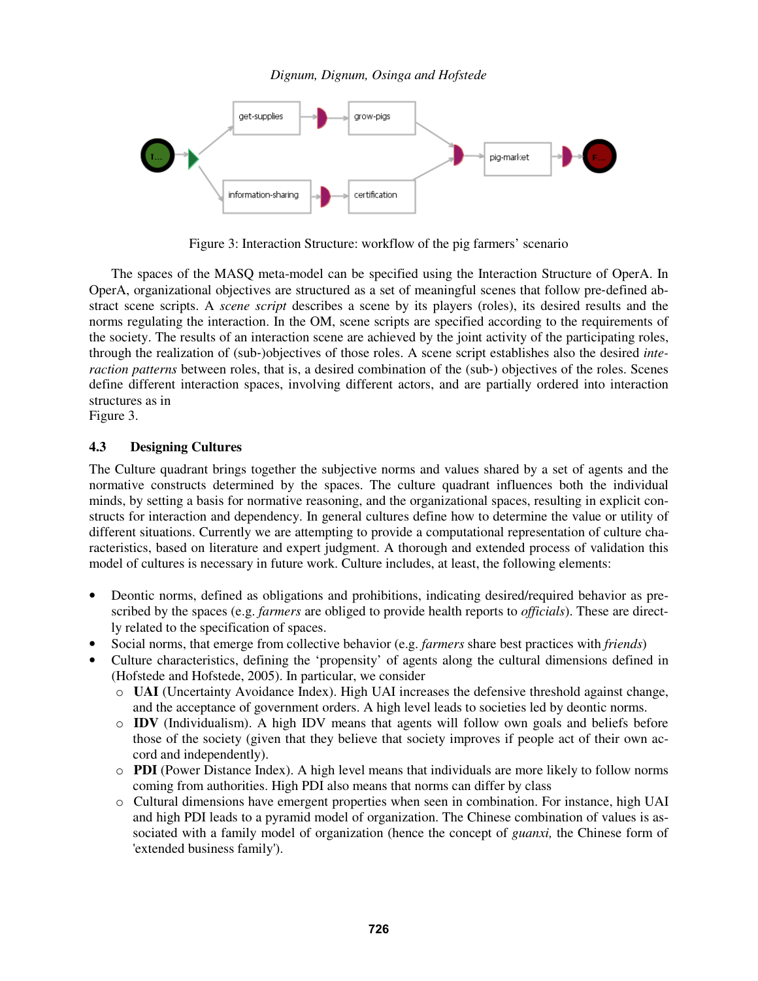

Figure 3: Interaction Structure: workflow of the pig farmers' scenario

 The spaces of the MASQ meta-model can be specified using the Interaction Structure of OperA. In OperA, organizational objectives are structured as a set of meaningful scenes that follow pre‐defined abstract scene scripts. A *scene script* describes a scene by its players (roles), its desired results and the norms regulating the interaction. In the OM, scene scripts are specified according to the requirements of the society. The results of an interaction scene are achieved by the joint activity of the participating roles, through the realization of (sub‐)objectives of those roles. A scene script establishes also the desired *interaction patterns* between roles, that is, a desired combination of the (sub-) objectives of the roles. Scenes define different interaction spaces, involving different actors, and are partially ordered into interaction structures as in

Figure 3.

# **4.3 Designing Cultures**

The Culture quadrant brings together the subjective norms and values shared by a set of agents and the normative constructs determined by the spaces. The culture quadrant influences both the individual minds, by setting a basis for normative reasoning, and the organizational spaces, resulting in explicit constructs for interaction and dependency. In general cultures define how to determine the value or utility of different situations. Currently we are attempting to provide a computational representation of culture characteristics, based on literature and expert judgment. A thorough and extended process of validation this model of cultures is necessary in future work. Culture includes, at least, the following elements:

- Deontic norms, defined as obligations and prohibitions, indicating desired/required behavior as prescribed by the spaces (e.g. *farmers* are obliged to provide health reports to *officials*). These are directly related to the specification of spaces.
- Social norms, that emerge from collective behavior (e.g. *farmers* share best practices with *friends*)
- Culture characteristics, defining the 'propensity' of agents along the cultural dimensions defined in (Hofstede and Hofstede, 2005). In particular, we consider
	- o **UAI** (Uncertainty Avoidance Index). High UAI increases the defensive threshold against change, and the acceptance of government orders. A high level leads to societies led by deontic norms.
	- o **IDV** (Individualism). A high IDV means that agents will follow own goals and beliefs before those of the society (given that they believe that society improves if people act of their own accord and independently).
	- o **PDI** (Power Distance Index). A high level means that individuals are more likely to follow norms coming from authorities. High PDI also means that norms can differ by class
	- o Cultural dimensions have emergent properties when seen in combination. For instance, high UAI and high PDI leads to a pyramid model of organization. The Chinese combination of values is associated with a family model of organization (hence the concept of *guanxi,* the Chinese form of 'extended business family').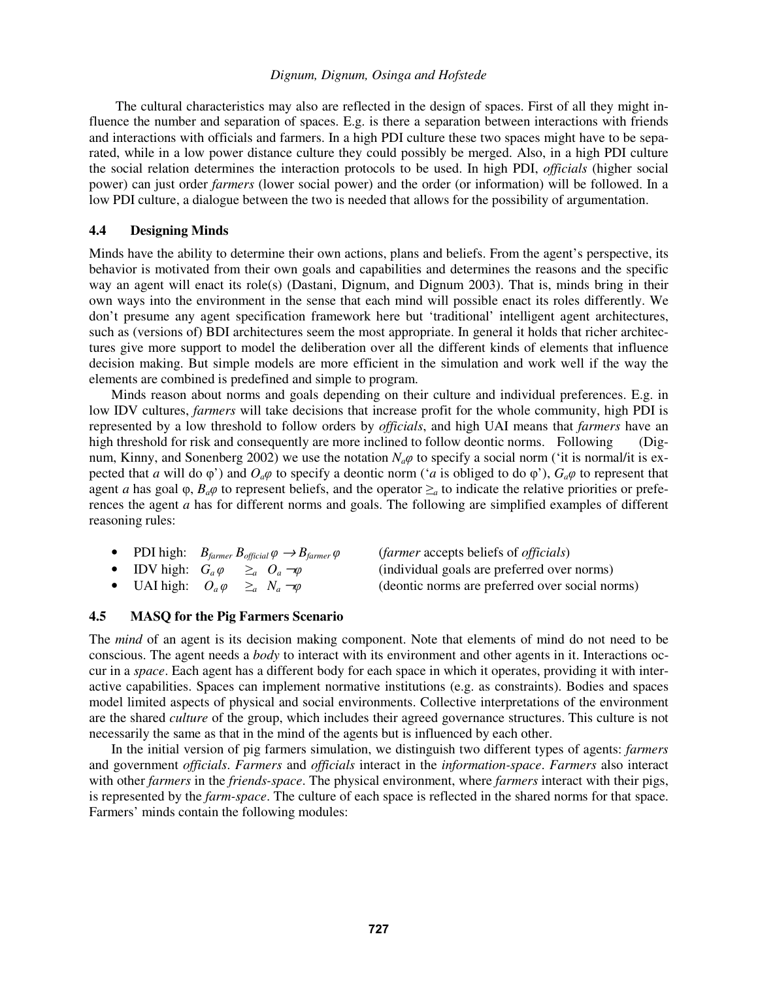The cultural characteristics may also are reflected in the design of spaces. First of all they might influence the number and separation of spaces. E.g. is there a separation between interactions with friends and interactions with officials and farmers. In a high PDI culture these two spaces might have to be separated, while in a low power distance culture they could possibly be merged. Also, in a high PDI culture the social relation determines the interaction protocols to be used. In high PDI, *officials* (higher social power) can just order *farmers* (lower social power) and the order (or information) will be followed. In a low PDI culture, a dialogue between the two is needed that allows for the possibility of argumentation.

#### **4.4 Designing Minds**

Minds have the ability to determine their own actions, plans and beliefs. From the agent's perspective, its behavior is motivated from their own goals and capabilities and determines the reasons and the specific way an agent will enact its role(s) (Dastani, Dignum, and Dignum 2003). That is, minds bring in their own ways into the environment in the sense that each mind will possible enact its roles differently. We don't presume any agent specification framework here but 'traditional' intelligent agent architectures, such as (versions of) BDI architectures seem the most appropriate. In general it holds that richer architectures give more support to model the deliberation over all the different kinds of elements that influence decision making. But simple models are more efficient in the simulation and work well if the way the elements are combined is predefined and simple to program.

 Minds reason about norms and goals depending on their culture and individual preferences. E.g. in low IDV cultures, *farmers* will take decisions that increase profit for the whole community, high PDI is represented by a low threshold to follow orders by *officials*, and high UAI means that *farmers* have an high threshold for risk and consequently are more inclined to follow deontic norms. Following (Dignum, Kinny, and Sonenberg 2002) we use the notation *N<sub>a</sub> φ* to specify a social norm ('it is normal/it is expected that *a* will do  $\varphi'$ ) and  $O_a\varphi$  to specify a deontic norm ('*a* is obliged to do  $\varphi'$ ),  $G_a\varphi$  to represent that agent *a* has goal  $\varphi$ ,  $B_a\varphi$  to represent beliefs, and the operator  $\geq_a$  to indicate the relative priorities or preferences the agent *a* has for different norms and goals. The following are simplified examples of different reasoning rules:

|  | • PDI high: $B_{\text{farmer}} B_{\text{official}} \varphi \rightarrow B_{\text{farmer}} \varphi$ | ( <i>farmer</i> accepts beliefs of <i>officials</i> ) |
|--|---------------------------------------------------------------------------------------------------|-------------------------------------------------------|
|  | • IDV high: $G_a \varphi \geq_a O_a \neg \varphi$                                                 | (individual goals are preferred over norms)           |
|  | • UAI high: $O_a \varphi \geq_a N_a \neg \varphi$                                                 | (deontic norms are preferred over social norms)       |

### **4.5 MASQ for the Pig Farmers Scenario**

The *mind* of an agent is its decision making component. Note that elements of mind do not need to be conscious. The agent needs a *body* to interact with its environment and other agents in it. Interactions occur in a *space*. Each agent has a different body for each space in which it operates, providing it with interactive capabilities. Spaces can implement normative institutions (e.g. as constraints). Bodies and spaces model limited aspects of physical and social environments. Collective interpretations of the environment are the shared *culture* of the group, which includes their agreed governance structures. This culture is not necessarily the same as that in the mind of the agents but is influenced by each other.

 In the initial version of pig farmers simulation, we distinguish two different types of agents: *farmers* and government *officials*. *Farmers* and *officials* interact in the *information-space*. *Farmers* also interact with other *farmers* in the *friends-space*. The physical environment, where *farmers* interact with their pigs, is represented by the *farm-space*. The culture of each space is reflected in the shared norms for that space. Farmers' minds contain the following modules: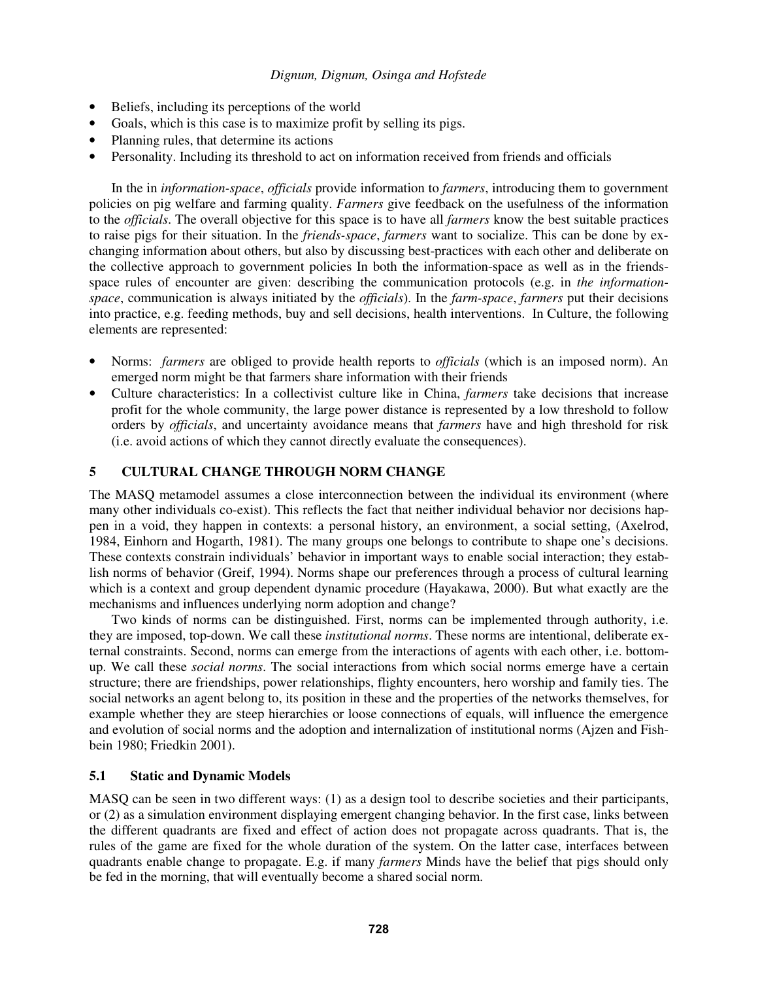- Beliefs, including its perceptions of the world
- Goals, which is this case is to maximize profit by selling its pigs.
- Planning rules, that determine its actions
- Personality. Including its threshold to act on information received from friends and officials

In the in *information-space*, *officials* provide information to *farmers*, introducing them to government policies on pig welfare and farming quality. *Farmers* give feedback on the usefulness of the information to the *officials*. The overall objective for this space is to have all *farmers* know the best suitable practices to raise pigs for their situation. In the *friends-space*, *farmers* want to socialize. This can be done by exchanging information about others, but also by discussing best-practices with each other and deliberate on the collective approach to government policies In both the information-space as well as in the friendsspace rules of encounter are given: describing the communication protocols (e.g. in *the informationspace*, communication is always initiated by the *officials*). In the *farm-space*, *farmers* put their decisions into practice, e.g. feeding methods, buy and sell decisions, health interventions. In Culture, the following elements are represented:

- Norms: *farmers* are obliged to provide health reports to *officials* (which is an imposed norm). An emerged norm might be that farmers share information with their friends
- Culture characteristics: In a collectivist culture like in China, *farmers* take decisions that increase profit for the whole community, the large power distance is represented by a low threshold to follow orders by *officials*, and uncertainty avoidance means that *farmers* have and high threshold for risk (i.e. avoid actions of which they cannot directly evaluate the consequences).

### **5 CULTURAL CHANGE THROUGH NORM CHANGE**

The MASQ metamodel assumes a close interconnection between the individual its environment (where many other individuals co-exist). This reflects the fact that neither individual behavior nor decisions happen in a void, they happen in contexts: a personal history, an environment, a social setting, (Axelrod, 1984, Einhorn and Hogarth, 1981). The many groups one belongs to contribute to shape one's decisions. These contexts constrain individuals' behavior in important ways to enable social interaction; they establish norms of behavior (Greif, 1994). Norms shape our preferences through a process of cultural learning which is a context and group dependent dynamic procedure (Hayakawa, 2000). But what exactly are the mechanisms and influences underlying norm adoption and change?

Two kinds of norms can be distinguished. First, norms can be implemented through authority, i.e. they are imposed, top-down. We call these *institutional norms*. These norms are intentional, deliberate external constraints. Second, norms can emerge from the interactions of agents with each other, i.e. bottomup. We call these *social norms*. The social interactions from which social norms emerge have a certain structure; there are friendships, power relationships, flighty encounters, hero worship and family ties. The social networks an agent belong to, its position in these and the properties of the networks themselves, for example whether they are steep hierarchies or loose connections of equals, will influence the emergence and evolution of social norms and the adoption and internalization of institutional norms (Ajzen and Fishbein 1980; Friedkin 2001).

#### **5.1 Static and Dynamic Models**

MASQ can be seen in two different ways: (1) as a design tool to describe societies and their participants, or (2) as a simulation environment displaying emergent changing behavior. In the first case, links between the different quadrants are fixed and effect of action does not propagate across quadrants. That is, the rules of the game are fixed for the whole duration of the system. On the latter case, interfaces between quadrants enable change to propagate. E.g. if many *farmers* Minds have the belief that pigs should only be fed in the morning, that will eventually become a shared social norm.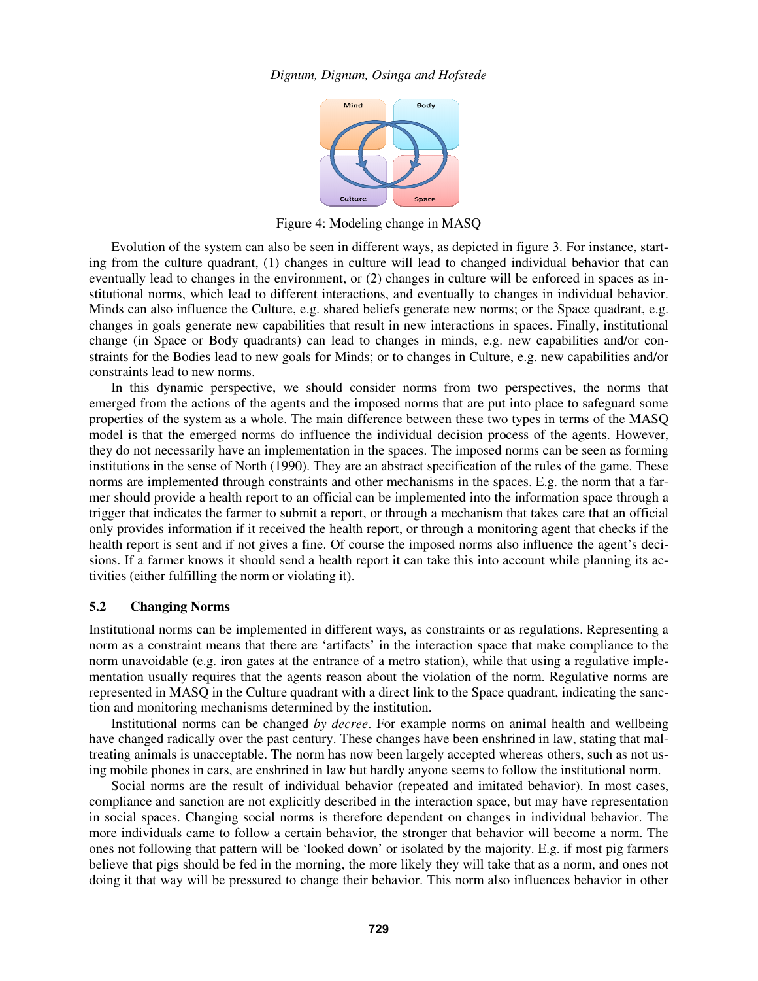

Figure 4: Modeling change in MASQ

Evolution of the system can also be seen in different ways, as depicted in figure 3. For instance, starting from the culture quadrant, (1) changes in culture will lead to changed individual behavior that can eventually lead to changes in the environment, or (2) changes in culture will be enforced in spaces as institutional norms, which lead to different interactions, and eventually to changes in individual behavior. Minds can also influence the Culture, e.g. shared beliefs generate new norms; or the Space quadrant, e.g. changes in goals generate new capabilities that result in new interactions in spaces. Finally, institutional change (in Space or Body quadrants) can lead to changes in minds, e.g. new capabilities and/or constraints for the Bodies lead to new goals for Minds; or to changes in Culture, e.g. new capabilities and/or constraints lead to new norms.

 In this dynamic perspective, we should consider norms from two perspectives, the norms that emerged from the actions of the agents and the imposed norms that are put into place to safeguard some properties of the system as a whole. The main difference between these two types in terms of the MASQ model is that the emerged norms do influence the individual decision process of the agents. However, they do not necessarily have an implementation in the spaces. The imposed norms can be seen as forming institutions in the sense of North (1990). They are an abstract specification of the rules of the game. These norms are implemented through constraints and other mechanisms in the spaces. E.g. the norm that a farmer should provide a health report to an official can be implemented into the information space through a trigger that indicates the farmer to submit a report, or through a mechanism that takes care that an official only provides information if it received the health report, or through a monitoring agent that checks if the health report is sent and if not gives a fine. Of course the imposed norms also influence the agent's decisions. If a farmer knows it should send a health report it can take this into account while planning its activities (either fulfilling the norm or violating it).

#### **5.2 Changing Norms**

Institutional norms can be implemented in different ways, as constraints or as regulations. Representing a norm as a constraint means that there are 'artifacts' in the interaction space that make compliance to the norm unavoidable (e.g. iron gates at the entrance of a metro station), while that using a regulative implementation usually requires that the agents reason about the violation of the norm. Regulative norms are represented in MASQ in the Culture quadrant with a direct link to the Space quadrant, indicating the sanction and monitoring mechanisms determined by the institution.

Institutional norms can be changed *by decree*. For example norms on animal health and wellbeing have changed radically over the past century. These changes have been enshrined in law, stating that maltreating animals is unacceptable. The norm has now been largely accepted whereas others, such as not using mobile phones in cars, are enshrined in law but hardly anyone seems to follow the institutional norm.

 Social norms are the result of individual behavior (repeated and imitated behavior). In most cases, compliance and sanction are not explicitly described in the interaction space, but may have representation in social spaces. Changing social norms is therefore dependent on changes in individual behavior. The more individuals came to follow a certain behavior, the stronger that behavior will become a norm. The ones not following that pattern will be 'looked down' or isolated by the majority. E.g. if most pig farmers believe that pigs should be fed in the morning, the more likely they will take that as a norm, and ones not doing it that way will be pressured to change their behavior. This norm also influences behavior in other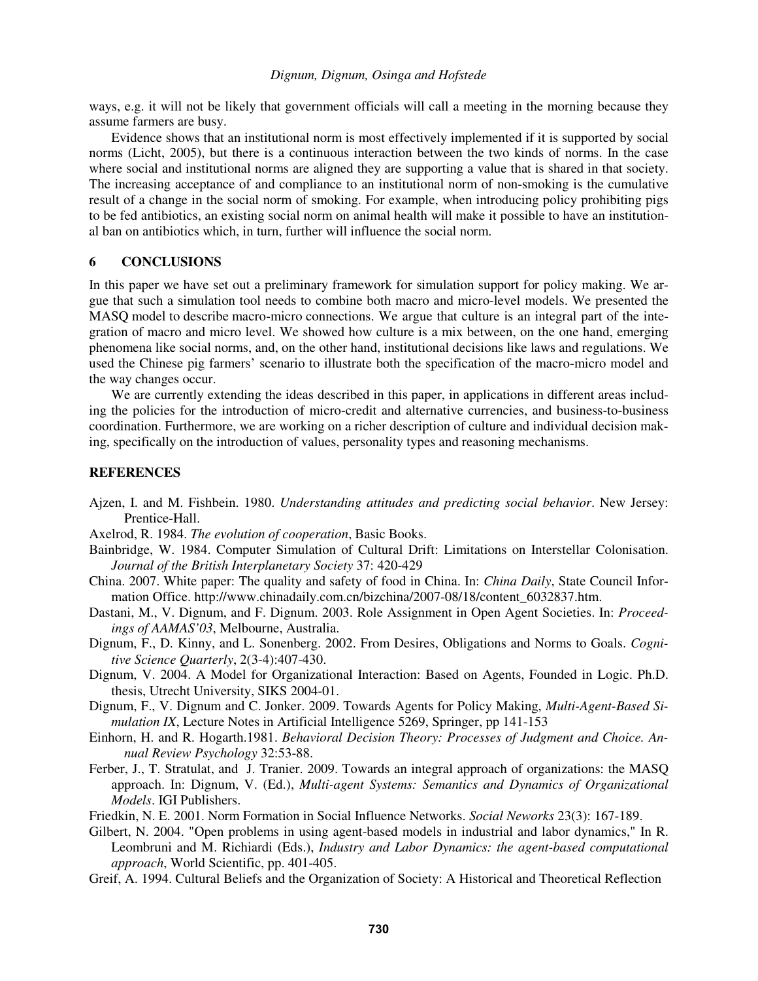ways, e.g. it will not be likely that government officials will call a meeting in the morning because they assume farmers are busy.

 Evidence shows that an institutional norm is most effectively implemented if it is supported by social norms (Licht, 2005), but there is a continuous interaction between the two kinds of norms. In the case where social and institutional norms are aligned they are supporting a value that is shared in that society. The increasing acceptance of and compliance to an institutional norm of non-smoking is the cumulative result of a change in the social norm of smoking. For example, when introducing policy prohibiting pigs to be fed antibiotics, an existing social norm on animal health will make it possible to have an institutional ban on antibiotics which, in turn, further will influence the social norm.

#### **6 CONCLUSIONS**

In this paper we have set out a preliminary framework for simulation support for policy making. We argue that such a simulation tool needs to combine both macro and micro-level models. We presented the MASQ model to describe macro-micro connections. We argue that culture is an integral part of the integration of macro and micro level. We showed how culture is a mix between, on the one hand, emerging phenomena like social norms, and, on the other hand, institutional decisions like laws and regulations. We used the Chinese pig farmers' scenario to illustrate both the specification of the macro-micro model and the way changes occur.

We are currently extending the ideas described in this paper, in applications in different areas including the policies for the introduction of micro-credit and alternative currencies, and business-to-business coordination. Furthermore, we are working on a richer description of culture and individual decision making, specifically on the introduction of values, personality types and reasoning mechanisms.

#### **REFERENCES**

- Ajzen, I. and M. Fishbein. 1980. *Understanding attitudes and predicting social behavior*. New Jersey: Prentice-Hall.
- Axelrod, R. 1984. *The evolution of cooperation*, Basic Books.
- Bainbridge, W. 1984. Computer Simulation of Cultural Drift: Limitations on Interstellar Colonisation. *Journal of the British Interplanetary Society* 37: 420-429
- China. 2007. White paper: The quality and safety of food in China. In: *China Daily*, State Council Information Office. http://www.chinadaily.com.cn/bizchina/2007-08/18/content\_6032837.htm.
- Dastani, M., V. Dignum, and F. Dignum. 2003. Role Assignment in Open Agent Societies. In: *Proceedings of AAMAS'03*, Melbourne, Australia.
- Dignum, F., D. Kinny, and L. Sonenberg. 2002. From Desires, Obligations and Norms to Goals. *Cognitive Science Quarterly*, 2(3-4):407-430.
- Dignum, V. 2004. A Model for Organizational Interaction: Based on Agents, Founded in Logic. Ph.D. thesis, Utrecht University, SIKS 2004-01.
- Dignum, F., V. Dignum and C. Jonker. 2009. Towards Agents for Policy Making, *Multi-Agent-Based Simulation IX*, Lecture Notes in Artificial Intelligence 5269, Springer, pp 141-153
- Einhorn, H. and R. Hogarth.1981. *Behavioral Decision Theory: Processes of Judgment and Choice. Annual Review Psychology* 32:53-88.
- Ferber, J., T. Stratulat, and J. Tranier. 2009. Towards an integral approach of organizations: the MASQ approach. In: Dignum, V. (Ed.), *Multi-agent Systems: Semantics and Dynamics of Organizational Models*. IGI Publishers.
- Friedkin, N. E. 2001. Norm Formation in Social Influence Networks. *Social Neworks* 23(3): 167-189.
- Gilbert, N. 2004. "Open problems in using agent-based models in industrial and labor dynamics," In R. Leombruni and M. Richiardi (Eds.), *Industry and Labor Dynamics: the agent-based computational approach*, World Scientific, pp. 401-405.
- Greif, A. 1994. Cultural Beliefs and the Organization of Society: A Historical and Theoretical Reflection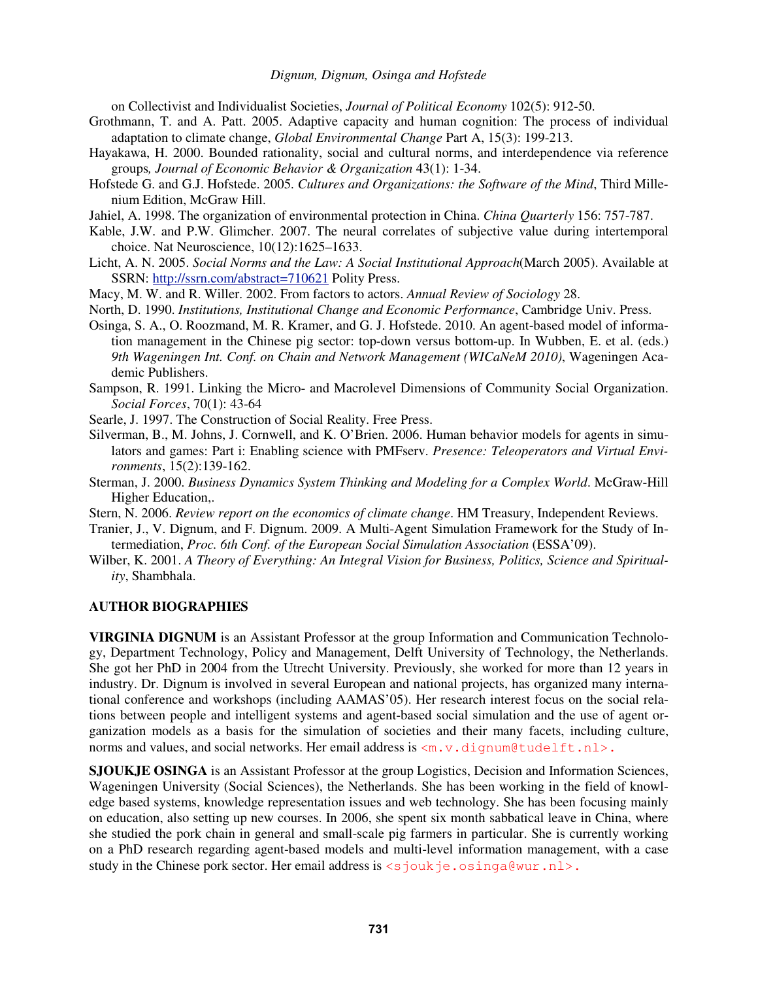on Collectivist and Individualist Societies, *Journal of Political Economy* 102(5): 912-50.

- Grothmann, T. and A. Patt. 2005. Adaptive capacity and human cognition: The process of individual adaptation to climate change, *Global Environmental Change* Part A, 15(3): 199-213.
- Hayakawa, H. 2000. Bounded rationality, social and cultural norms, and interdependence via reference groups*, Journal of Economic Behavior & Organization* 43(1): 1-34.
- Hofstede G. and G.J. Hofstede. 2005. *Cultures and Organizations: the Software of the Mind*, Third Millenium Edition, McGraw Hill.
- Jahiel, A. 1998. The organization of environmental protection in China. *China Quarterly* 156: 757-787.
- Kable, J.W. and P.W. Glimcher. 2007. The neural correlates of subjective value during intertemporal choice. Nat Neuroscience, 10(12):1625–1633.
- Licht, A. N. 2005. *Social Norms and the Law: A Social Institutional Approach*(March 2005). Available at SSRN: http://ssrn.com/abstract=710621 Polity Press.
- Macy, M. W. and R. Willer. 2002. From factors to actors. *Annual Review of Sociology* 28.
- North, D. 1990. *Institutions, Institutional Change and Economic Performance*, Cambridge Univ. Press.
- Osinga, S. A., O. Roozmand, M. R. Kramer, and G. J. Hofstede. 2010. An agent-based model of information management in the Chinese pig sector: top-down versus bottom-up. In Wubben, E. et al. (eds.) *9th Wageningen Int. Conf. on Chain and Network Management (WICaNeM 2010)*, Wageningen Academic Publishers.
- Sampson, R. 1991. Linking the Micro- and Macrolevel Dimensions of Community Social Organization. *Social Forces*, 70(1): 43-64
- Searle, J. 1997. The Construction of Social Reality. Free Press.
- Silverman, B., M. Johns, J. Cornwell, and K. O'Brien. 2006. Human behavior models for agents in simulators and games: Part i: Enabling science with PMFserv. *Presence: Teleoperators and Virtual Environments*, 15(2):139-162.
- Sterman, J. 2000. *Business Dynamics System Thinking and Modeling for a Complex World*. McGraw-Hill Higher Education,.
- Stern, N. 2006. *Review report on the economics of climate change*. HM Treasury, Independent Reviews.
- Tranier, J., V. Dignum, and F. Dignum. 2009. A Multi-Agent Simulation Framework for the Study of Intermediation, *Proc. 6th Conf. of the European Social Simulation Association* (ESSA'09).
- Wilber, K. 2001. *A Theory of Everything: An Integral Vision for Business, Politics, Science and Spirituality*, Shambhala.

### **AUTHOR BIOGRAPHIES**

**VIRGINIA DIGNUM** is an Assistant Professor at the group Information and Communication Technology, Department Technology, Policy and Management, Delft University of Technology, the Netherlands. She got her PhD in 2004 from the Utrecht University. Previously, she worked for more than 12 years in industry. Dr. Dignum is involved in several European and national projects, has organized many international conference and workshops (including AAMAS'05). Her research interest focus on the social relations between people and intelligent systems and agent-based social simulation and the use of agent organization models as a basis for the simulation of societies and their many facets, including culture, norms and values, and social networks. Her email address is  $\langle m, v, \text{dipump}(tudelft.nls)$ .

**SJOUKJE OSINGA** is an Assistant Professor at the group Logistics, Decision and Information Sciences, Wageningen University (Social Sciences), the Netherlands. She has been working in the field of knowledge based systems, knowledge representation issues and web technology. She has been focusing mainly on education, also setting up new courses. In 2006, she spent six month sabbatical leave in China, where she studied the pork chain in general and small-scale pig farmers in particular. She is currently working on a PhD research regarding agent-based models and multi-level information management, with a case study in the Chinese pork sector. Her email address is  $\langle$ sjoukje.osinga@wur.nl>.